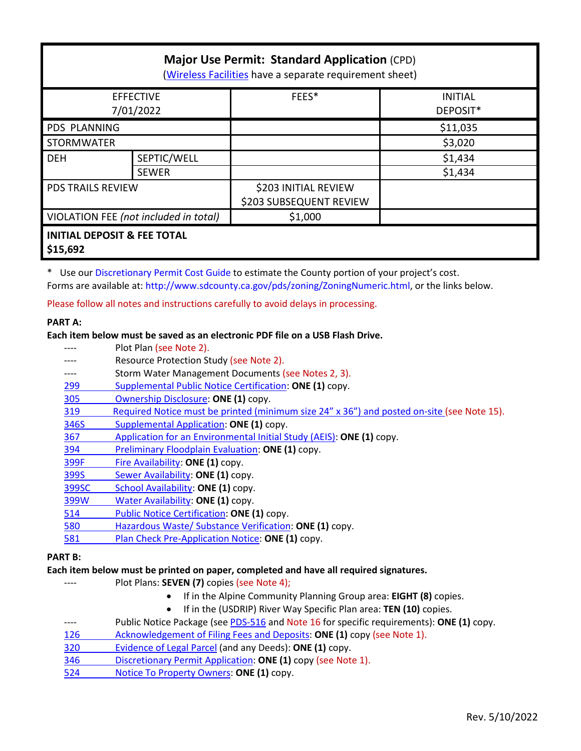| <b>Major Use Permit: Standard Application (CPD)</b><br>(Wireless Facilities have a separate requirement sheet) |              |                         |                |  |
|----------------------------------------------------------------------------------------------------------------|--------------|-------------------------|----------------|--|
| <b>EFFECTIVE</b>                                                                                               |              | FEES*                   | <b>INITIAL</b> |  |
| 7/01/2022                                                                                                      |              |                         | DEPOSIT*       |  |
| <b>PDS PLANNING</b>                                                                                            |              |                         | \$11,035       |  |
| <b>STORMWATER</b>                                                                                              |              |                         | \$3,020        |  |
| <b>DEH</b>                                                                                                     | SEPTIC/WELL  |                         | \$1,434        |  |
|                                                                                                                | <b>SEWER</b> |                         | \$1,434        |  |
| <b>PDS TRAILS REVIEW</b>                                                                                       |              | \$203 INITIAL REVIEW    |                |  |
|                                                                                                                |              | \$203 SUBSEQUENT REVIEW |                |  |
| VIOLATION FEE (not included in total)                                                                          |              | \$1,000                 |                |  |
| <b>INITIAL DEPOSIT &amp; FEE TOTAL</b><br>\$15,692                                                             |              |                         |                |  |

\* Use our [Discretionary Permit Cost Guide](http://www.sandiegocounty.gov/content/dam/sdc/pds/docs/Discretionary_Permit_Cost_Guide.xlsx) to estimate the County portion of your project's cost. Forms are available at: [http://www.sdcounty.ca.gov/pds/zoning/ZoningNumeric.html,](http://www.sdcounty.ca.gov/pds/zoning/ZoningNumeric.html) or the links below.

Please follow all notes and instructions carefully to avoid delays in processing.

### **PART A:**

#### **Each item below must be saved as an electronic PDF file on a USB Flash Drive.**

|                | Plot Plan (see Note 2).                                                                    |
|----------------|--------------------------------------------------------------------------------------------|
|                | Resource Protection Study (see Note 2).                                                    |
| ----           | Storm Water Management Documents (see Notes 2, 3).                                         |
| 299            | Supplemental Public Notice Certification: ONE (1) copy.                                    |
| 305            | Ownership Disclosure: ONE (1) copy.                                                        |
| 319            | Required Notice must be printed (minimum size 24" x 36") and posted on-site (see Note 15). |
| 346S           | Supplemental Application: ONE (1) copy.                                                    |
| 367            | Application for an Environmental Initial Study (AEIS): ONE (1) copy.                       |
| 394            | Preliminary Floodplain Evaluation: ONE (1) copy.                                           |
| 399F           | Fire Availability: ONE (1) copy.                                                           |
| 399S           | Sewer Availability: ONE (1) copy.                                                          |
| 399SC          | School Availability: ONE (1) copy.                                                         |
| 399W           | Water Availability: ONE (1) copy.                                                          |
| 514            | Public Notice Certification: ONE (1) copy.                                                 |
| 580            | Hazardous Waste/ Substance Verification: ONE (1) copy.                                     |
| 581            | Plan Check Pre-Application Notice: ONE (1) copy.                                           |
| <b>PART B:</b> |                                                                                            |

#### **Each item below must be printed on paper, completed and have all required signatures.**

- ---- Plot Plans: **SEVEN (7)** copies (see Note 4);
	- If in the Alpine Community Planning Group area: **EIGHT (8)** copies.
	- If in the (USDRIP) River Way Specific Plan area: **TEN (10)** copies.
- ---- Public Notice Package (se[e PDS-516 a](http://www.sdcounty.ca.gov/pds/zoning/formfields/PDS-PLN-516.pdf)nd Note 16 for specific requirements): **ONE (1)** copy.
- [126 Acknowledgement of Filing Fees and Deposits:](http://www.sdcounty.ca.gov/pds/zoning/formfields/PDS-PLN-126.pdf) **ONE (1)** copy (see Note 1).
- [320 Evidence of](http://www.sdcounty.ca.gov/pds/zoning/formfields/PDS-PLN-320.pdf) Legal Parcel (and any Deeds): **ONE (1)** copy.
- 346 [Discretionary Permit Application:](http://www.sdcounty.ca.gov/pds/zoning/formfields/PDS-PLN-346.pdf) **ONE (1)** copy (see Note 1).
- 524 [Notice To Property Owners:](http://www.sdcounty.ca.gov/pds/zoning/formfields/PDS-PLN-524.pdf) **ONE (1)** copy.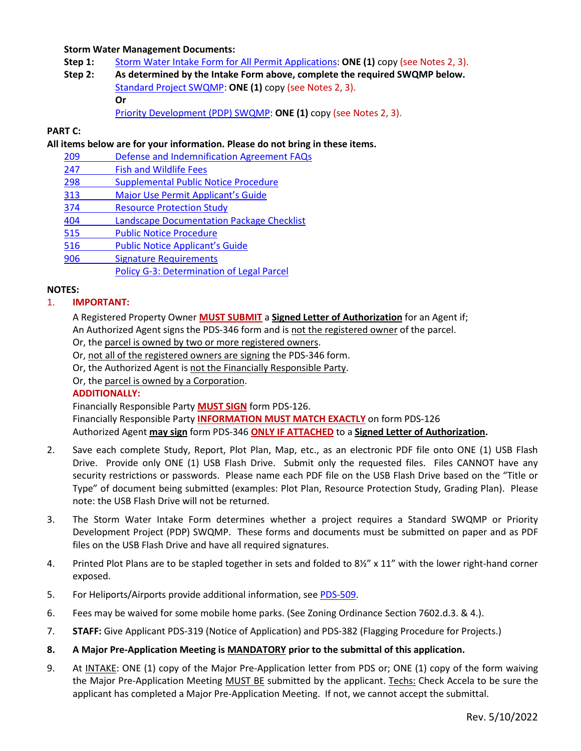### **Storm Water Management Documents:**

- **Step 1:** [Storm Water Intake Form for All Permit Applications:](http://www.sandiegocounty.gov/content/dam/sdc/pds/zoning/formfields/SWQMP-Intake-Form.pdf) **ONE (1)** copy (see Notes 2, 3).
- **Step 2: As determined by the Intake Form above, complete the required SWQMP below.** [Standard Project SWQMP:](http://www.sandiegocounty.gov/content/dam/sdc/pds/zoning/formfields/SWQMP-Standard.pdf) **ONE (1)** copy (see Notes 2, 3). **Or** [Priority Development \(PDP\) SWQMP:](https://www.sandiegocounty.gov/content/sdc/dpw/watersheds/DevelopmentandConstruction/BMP_Design_Manual.html) **ONE (1)** copy (see Notes 2, 3).

# **PART C:**

### **All items below are for your information. Please do not bring in these items.**

- [209 Defense and Indemnification Agreement FAQs](http://www.sdcounty.ca.gov/pds/zoning/formfields/PDS-PLN-209.pdf)
- [247 Fish and Wildlife](http://www.sdcounty.ca.gov/pds/zoning/formfields/PDS-PLN-247.pdf) Fees
- [298 Supplemental Public Notice Procedure](http://www.sdcounty.ca.gov/pds/zoning/formfields/PDS-PLN-298.pdf)
- 313 Major [Use Permit Applicant's Guide](http://www.sdcounty.ca.gov/pds/zoning/formfields/PDS-PLN-313.pdf)
- [374 Resource Protection Study](http://www.sdcounty.ca.gov/pds/zoning/formfields/PDS-PLN-374.pdf)
- [404 Landscape Documentation Package Checklist](http://www.sdcounty.ca.gov/pds/zoning/formfields/PDS-PLN-404.pdf)
- [515 Public Notice Procedure](http://www.sdcounty.ca.gov/pds/zoning/formfields/PDS-PLN-515.pdf)
- [516 Public Notice Applicant's Guide](http://www.sdcounty.ca.gov/pds/zoning/formfields/PDS-PLN-516.pdf)
- [906 Signature Requirements](http://www.sdcounty.ca.gov/pds/zoning/formfields/PDS-PLN-906.pdf)
	- [Policy G-3: Determination of Legal Parcel](http://www.sdcounty.ca.gov/pds/zoning/formfields/POLICY-G-3.pdf)

# **NOTES:**

# 1. **IMPORTANT:**

A Registered Property Owner **MUST SUBMIT** a **Signed Letter of Authorization** for an Agent if;

An Authorized Agent signs the PDS-346 form and is not the registered owner of the parcel.

- Or, the parcel is owned by two or more registered owners.
- Or, not all of the registered owners are signing the PDS-346 form.
- Or, the Authorized Agent is not the Financially Responsible Party.

Or, the parcel is owned by a Corporation.

### **ADDITIONALLY:**

Financially Responsible Party **MUST SIGN** form PDS-126.

Financially Responsible Party **INFORMATION MUST MATCH EXACTLY** on form PDS-126 Authorized Agent **may sign** form PDS-346 **ONLY IF ATTACHED** to a **Signed Letter of Authorization.** 

- 2. Save each complete Study, Report, Plot Plan, Map, etc., as an electronic PDF file onto ONE (1) USB Flash Drive. Provide only ONE (1) USB Flash Drive. Submit only the requested files. Files CANNOT have any security restrictions or passwords. Please name each PDF file on the USB Flash Drive based on the "Title or Type" of document being submitted (examples: Plot Plan, Resource Protection Study, Grading Plan). Please note: the USB Flash Drive will not be returned.
- 3. The Storm Water Intake Form determines whether a project requires a Standard SWQMP or Priority Development Project (PDP) SWQMP. These forms and documents must be submitted on paper and as PDF files on the USB Flash Drive and have all required signatures.
- 4. Printed Plot Plans are to be stapled together in sets and folded to 8½" x 11" with the lower right-hand corner exposed.
- 5. For Heliports/Airports provide additional information, se[e PDS-509.](http://www.sdcounty.ca.gov/pds/zoning/formfields/PDS-PLN-509.pdf)
- 6. Fees may be waived for some mobile home parks. (See Zoning Ordinance Section 7602.d.3. & 4.).
- 7. **STAFF:** Give Applicant PDS-319 (Notice of Application) and PDS-382 (Flagging Procedure for Projects.)
- **8. A Major Pre-Application Meeting is MANDATORY prior to the submittal of this application.**
- 9. At INTAKE: ONE (1) copy of the Major Pre-Application letter from PDS or; ONE (1) copy of the form waiving the Major Pre-Application Meeting MUST BE submitted by the applicant. Techs: Check Accela to be sure the applicant has completed a Major Pre-Application Meeting. If not, we cannot accept the submittal.